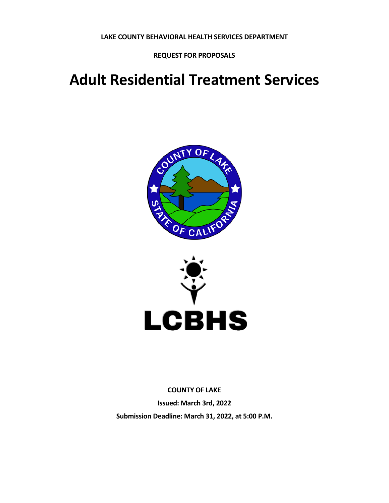**LAKE COUNTY BEHAVIORAL HEALTH SERVICES DEPARTMENT**

**REQUEST FOR PROPOSALS**

# **Adult Residential Treatment Services**





**COUNTY OF LAKE Issued: March 3rd, 2022 Submission Deadline: March 31, 2022, at 5:00 P.M.**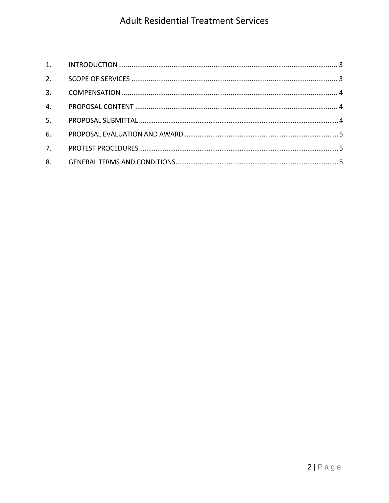| 2.             |  |
|----------------|--|
|                |  |
| 4.             |  |
| 5 <sub>1</sub> |  |
| 6.             |  |
| 7.             |  |
|                |  |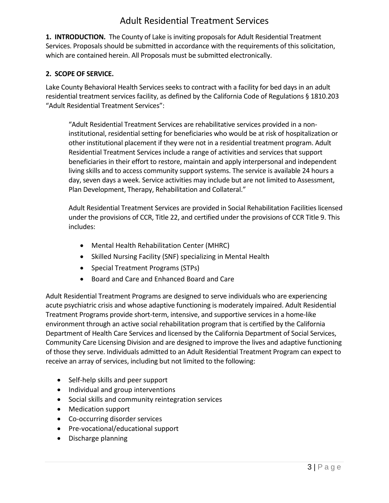**1. INTRODUCTION.** The County of Lake is inviting proposals for Adult Residential Treatment Services. Proposals should be submitted in accordance with the requirements of this solicitation, which are contained herein. All Proposals must be submitted electronically.

#### **2. SCOPE OF SERVICE.**

Lake County Behavioral Health Services seeks to contract with a facility for bed days in an adult residential treatment services facility, as defined by the California Code of Regulations § 1810.203 "Adult Residential Treatment Services":

"Adult Residential Treatment Services are rehabilitative services provided in a noninstitutional, residential setting for beneficiaries who would be at risk of hospitalization or other institutional placement if they were not in a residential treatment program. Adult Residential Treatment Services include a range of activities and services that support beneficiaries in their effort to restore, maintain and apply interpersonal and independent living skills and to access community support systems. The service is available 24 hours a day, seven days a week. Service activities may include but are not limited to Assessment, Plan Development, Therapy, Rehabilitation and Collateral."

Adult Residential Treatment Services are provided in Social Rehabilitation Facilities licensed under the provisions of CCR, Title 22, and certified under the provisions of CCR Title 9. This includes:

- Mental Health Rehabilitation Center (MHRC)
- Skilled Nursing Facility (SNF) specializing in Mental Health
- Special Treatment Programs (STPs)
- Board and Care and Enhanced Board and Care

Adult Residential Treatment Programs are designed to serve individuals who are experiencing acute psychiatric crisis and whose adaptive functioning is moderately impaired. Adult Residential Treatment Programs provide short-term, intensive, and supportive services in a home-like environment through an active social rehabilitation program that is certified by the California Department of Health Care Services and licensed by the California Department of Social Services, Community Care Licensing Division and are designed to improve the lives and adaptive functioning of those they serve. Individuals admitted to an Adult Residential Treatment Program can expect to receive an array of services, including but not limited to the following:

- Self-help skills and peer support
- Individual and group interventions
- Social skills and community reintegration services
- Medication support
- Co-occurring disorder services
- Pre-vocational/educational support
- Discharge planning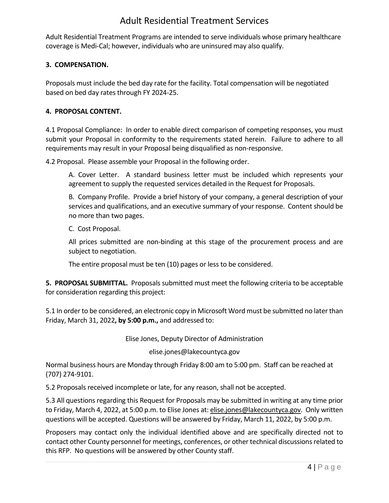Adult Residential Treatment Programs are intended to serve individuals whose primary healthcare coverage is Medi-Cal; however, individuals who are uninsured may also qualify.

#### **3. COMPENSATION.**

Proposals must include the bed day rate for the facility. Total compensation will be negotiated based on bed day rates through FY 2024-25.

#### **4. PROPOSAL CONTENT.**

4.1 Proposal Compliance: In order to enable direct comparison of competing responses, you must submit your Proposal in conformity to the requirements stated herein. Failure to adhere to all requirements may result in your Proposal being disqualified as non-responsive.

4.2 Proposal. Please assemble your Proposal in the following order.

A. Cover Letter. A standard business letter must be included which represents your agreement to supply the requested services detailed in the Request for Proposals.

B. Company Profile. Provide a brief history of your company, a general description of your services and qualifications, and an executive summary of your response. Content should be no more than two pages.

C. Cost Proposal.

All prices submitted are non-binding at this stage of the procurement process and are subject to negotiation.

The entire proposal must be ten (10) pages or less to be considered.

**5. PROPOSAL SUBMITTAL.** Proposals submitted must meet the following criteria to be acceptable for consideration regarding this project:

5.1 In order to be considered, an electronic copy in Microsoft Word must be submitted no later than Friday, March 31, 2022**, by 5:00 p.m.,** and addressed to:

Elise Jones, Deputy Director of Administration

elise.jones@lakecountyca.gov

Normal business hours are Monday through Friday 8:00 am to 5:00 pm. Staff can be reached at (707) 274-9101.

5.2 Proposals received incomplete or late, for any reason, shall not be accepted.

5.3 All questions regarding this Request for Proposals may be submitted in writing at any time prior to Friday, March 4, 2022, at 5:00 p.m. to Elise Jones at: [elise.jones@lakecountyca.gov.](mailto:elise.jones@lakecountyca.gov) Only written questions will be accepted. Questions will be answered by Friday, March 11, 2022, by 5:00 p.m.

Proposers may contact only the individual identified above and are specifically directed not to contact other County personnel for meetings, conferences, or other technical discussions related to this RFP. No questions will be answered by other County staff.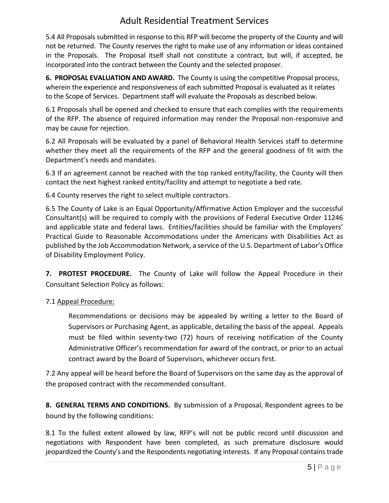5.4 All Proposals submitted in response to this RFP will become the property of the County and will not be returned. The County reserves the right to make use of any information or ideas contained in the Proposals. The Proposal itself shall not constitute a contract, but will, if accepted, be incorporated into the contract between the County and the selected proposer.

**6. PROPOSAL EVALUATION AND AWARD.** The County is using the competitive Proposal process, wherein the experience and responsiveness of each submitted Proposal is evaluated as it relates to the Scope of Services. Department staff will evaluate the Proposals as described below.

6.1 Proposals shall be opened and checked to ensure that each complies with the requirements of the RFP. The absence of required information may render the Proposal non-responsive and may be cause for rejection.

6.2 All Proposals will be evaluated by a panel of Behavioral Health Services staff to determine whether they meet all the requirements of the RFP and the general goodness of fit with the Department's needs and mandates.

6.3 If an agreement cannot be reached with the top ranked entity/facility, the County will then contact the next highest ranked entity/facility and attempt to negotiate a bed rate.

6.4 County reserves the right to select multiple contractors.

6.5 The County of Lake is an Equal Opportunity/Affirmative Action Employer and the successful Consultant(s) will be required to comply with the provisions of Federal Executive Order 11246 and applicable state and federal laws. Entities/facilities should be familiar with the Employers' Practical Guide to Reasonable Accommodations under the Americans with Disabilities Act as published by the Job Accommodation Network, a service of the U.S. Department of Labor's Office of Disability Employment Policy.

**7. PROTEST PROCEDURE.** The County of Lake will follow the Appeal Procedure in their Consultant Selection Policy as follows:

7.1 Appeal Procedure:

Recommendations or decisions may be appealed by writing a letter to the Board of Supervisors or Purchasing Agent, as applicable, detailing the basis of the appeal. Appeals must be filed within seventy-two (72) hours of receiving notification of the County Administrative Officer's recommendation for award of the contract, or prior to an actual contract award by the Board of Supervisors, whichever occurs first.

7.2 Any appeal will be heard before the Board of Supervisors on the same day as the approval of the proposed contract with the recommended consultant.

**8. GENERAL TERMS AND CONDITIONS.** By submission of a Proposal, Respondent agrees to be bound by the following conditions:

8.1 To the fullest extent allowed by law, RFP's will not be public record until discussion and negotiations with Respondent have been completed, as such premature disclosure would jeopardized the County's and the Respondents negotiating interests. If any Proposal contains trade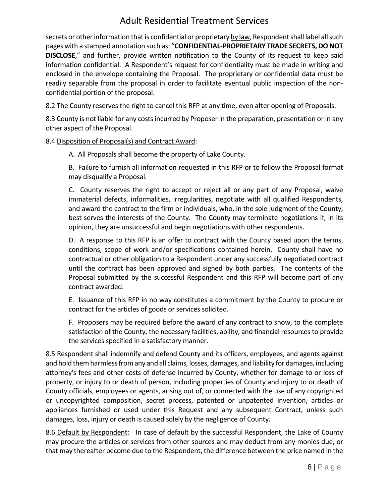secrets or other information that is confidential or proprietary by law, Respondent shall label all such pages with a stamped annotation such as: "**CONFIDENTIAL-PROPRIETARY TRADE SECRETS, DO NOT DISCLOSE**," and further, provide written notification to the County of its request to keep said information confidential. A Respondent's request for confidentiality must be made in writing and enclosed in the envelope containing the Proposal. The proprietary or confidential data must be readily separable from the proposal in order to facilitate eventual public inspection of the nonconfidential portion of the proposal.

8.2 The County reserves the right to cancel this RFP at any time, even after opening of Proposals.

8.3 County is not liable for any costs incurred by Proposer in the preparation, presentation or in any other aspect of the Proposal.

8.4 Disposition of Proposal(s) and Contract Award:

A. All Proposals shall become the property of Lake County.

B. Failure to furnish all information requested in this RFP or to follow the Proposal format may disqualify a Proposal.

C. County reserves the right to accept or reject all or any part of any Proposal, waive immaterial defects, informalities, irregularities, negotiate with all qualified Respondents, and award the contract to the firm or individuals, who, in the sole judgment of the County, best serves the interests of the County. The County may terminate negotiations if, in its opinion, they are unsuccessful and begin negotiations with other respondents.

D. A response to this RFP is an offer to contract with the County based upon the terms, conditions, scope of work and/or specifications contained herein. County shall have no contractual or other obligation to a Respondent under any successfully negotiated contract until the contract has been approved and signed by both parties. The contents of the Proposal submitted by the successful Respondent and this RFP will become part of any contract awarded.

E. Issuance of this RFP in no way constitutes a commitment by the County to procure or contract for the articles of goods or services solicited.

F. Proposers may be required before the award of any contract to show, to the complete satisfaction of the County, the necessary facilities, ability, and financial resources to provide the services specified in a satisfactory manner.

8.5 Respondent shall indemnify and defend County and its officers, employees, and agents against and hold them harmless from any and all claims, losses, damages, and liability for damages, including attorney's fees and other costs of defense incurred by County, whether for damage to or loss of property, or injury to or death of person, including properties of County and injury to or death of County officials, employees or agents, arising out of, or connected with the use of any copyrighted or uncopyrighted composition, secret process, patented or unpatented invention, articles or appliances furnished or used under this Request and any subsequent Contract, unless such damages, loss, injury or death is caused solely by the negligence of County.

8.6 Default by Respondent: In case of default by the successful Respondent, the Lake of County may procure the articles or services from other sources and may deduct from any monies due, or that may thereafter become due to the Respondent, the difference between the price named in the